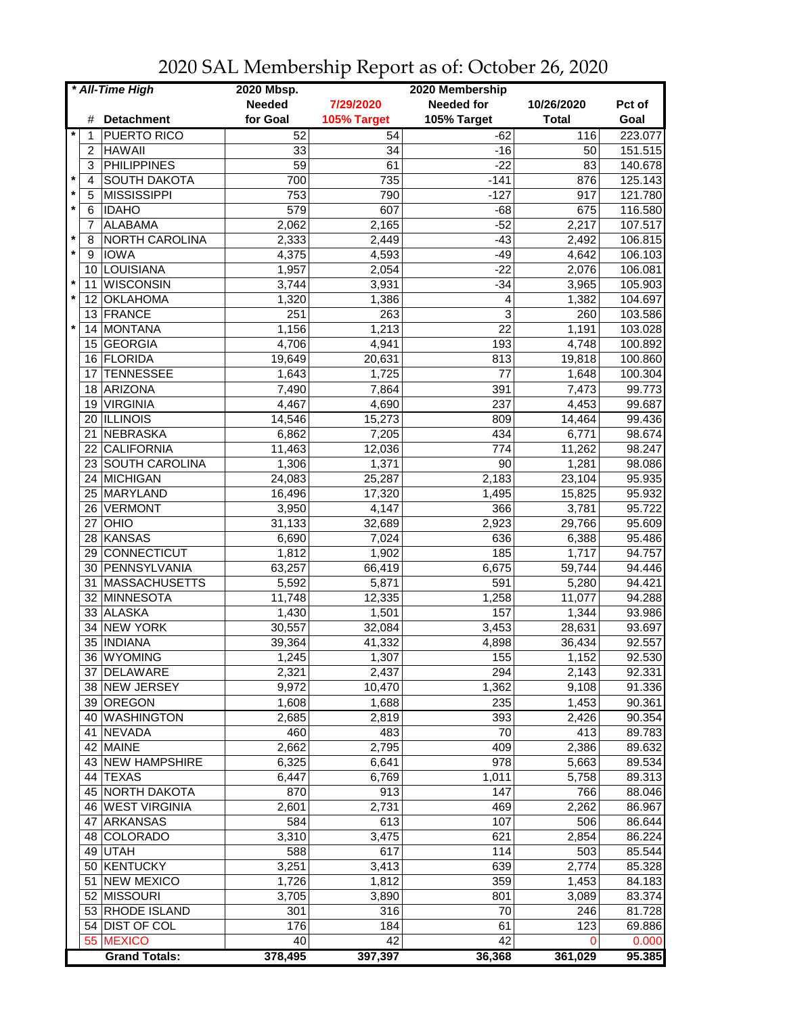| * All-Time High |                      | 2020 Mbsp.      |             | 2020 Membership   |              |         |
|-----------------|----------------------|-----------------|-------------|-------------------|--------------|---------|
|                 |                      | <b>Needed</b>   | 7/29/2020   | <b>Needed for</b> | 10/26/2020   | Pct of  |
| #               | <b>Detachment</b>    | for Goal        | 105% Target | 105% Target       | <b>Total</b> | Goal    |
| 1               | PUERTO RICO          | 52              | 54          | $-62$             | 116          | 223.077 |
| 2               | <b>HAWAII</b>        | 33              | 34          | $-16$             | 50           | 151.515 |
| 3               | <b>PHILIPPINES</b>   | $\overline{59}$ | 61          | $-22$             | 83           | 140.678 |
| $\star$<br>4    | <b>SOUTH DAKOTA</b>  | 700             | 735         | $-141$            | 876          | 125.143 |
| $\star$<br>5    | MISSISSIPPI          | 753             | 790         | $-127$            | 917          | 121.780 |
| $\star$<br>6    | <b>IDAHO</b>         | 579             | 607         | $-68$             | 675          | 116.580 |
| $\overline{7}$  | <b>ALABAMA</b>       | 2,062           | 2,165       | $-52$             | 2,217        | 107.517 |
| $\ast$<br>8     | NORTH CAROLINA       | 2,333           | 2,449       | $-43$             | 2,492        | 106.815 |
| $\star$<br>9    | <b>IOWA</b>          | 4,375           | 4,593       | $-49$             | 4,642        | 106.103 |
| 10              | LOUISIANA            | 1,957           | 2,054       | $-22$             | 2,076        | 106.081 |
| $\star$<br>11   | <b>WISCONSIN</b>     | 3,744           | 3,931       | $-34$             | 3,965        | 105.903 |
| $\star$<br>12   | <b>OKLAHOMA</b>      | 1,320           | 1,386       | 4                 | 1,382        | 104.697 |
| 13              | FRANCE               | 251             | 263         | 3                 | 260          | 103.586 |
| $\star$<br>14   | MONTANA              | 1,156           | 1,213       | 22                | 1,191        | 103.028 |
| 15              | <b>GEORGIA</b>       | 4,706           | 4,941       | 193               | 4,748        | 100.892 |
| 16              | FLORIDA              | 19,649          | 20,631      | 813               | 19,818       | 100.860 |
| 17              | <b>TENNESSEE</b>     | 1,643           | 1,725       | 77                | 1,648        | 100.304 |
| 18              | ARIZONA              | 7,490           | 7,864       | 391               | 7,473        | 99.773  |
| 19              | <b>VIRGINIA</b>      | 4,467           | 4,690       | 237               | 4,453        | 99.687  |
| 20              | <b>ILLINOIS</b>      | 14,546          | 15,273      | 809               | 14,464       | 99.436  |
| 21              | NEBRASKA             | 6,862           | 7,205       | 434               | 6,771        | 98.674  |
| 22              | <b>CALIFORNIA</b>    | 11,463          | 12,036      | 774               | 11,262       | 98.247  |
|                 | 23 SOUTH CAROLINA    | 1,306           | 1,371       | 90                | 1,281        | 98.086  |
|                 | 24 MICHIGAN          | 24,083          | 25,287      | 2,183             | 23,104       | 95.935  |
|                 | 25 MARYLAND          | 16,496          | 17,320      | 1,495             | 15,825       | 95.932  |
| 26              | VERMONT              | 3,950           | 4,147       | 366               | 3,781        | 95.722  |
| 27              | OHIO                 | 31,133          | 32,689      | 2,923             | 29,766       | 95.609  |
| 28              | KANSAS               | 6,690           | 7,024       | 636               | 6,388        | 95.486  |
| 29              | CONNECTICUT          | 1,812           | 1,902       | 185               | 1,717        | 94.757  |
|                 | 30 PENNSYLVANIA      | 63,257          | 66,419      | 6,675             | 59,744       | 94.446  |
| 31              | <b>MASSACHUSETTS</b> | 5,592           | 5,871       | 591               | 5,280        | 94.421  |
|                 | 32 MINNESOTA         | 11,748          | 12,335      | 1,258             | 11,077       | 94.288  |
|                 | 33 ALASKA            | 1,430           | 1,501       | 157               | 1,344        | 93.986  |
| 34              | <b>NEW YORK</b>      | 30,557          | 32,084      | 3,453             | 28,631       | 93.697  |
|                 | 35   INDIANA         | 39,364          | 41,332      | 4,898             | 36,434       | 92.557  |
|                 | 36 WYOMING           | 1,245           | 1,307       | 155               | 1,152        | 92.530  |
|                 | 37 DELAWARE          | 2,321           | 2,437       | 294               | 2,143        | 92.331  |
|                 | 38 NEW JERSEY        | 9,972           | 10,470      | 1,362             | 9,108        | 91.336  |
|                 | 39 OREGON            | 1,608           | 1,688       | 235               | 1,453        | 90.361  |
|                 | 40 WASHINGTON        | 2,685           | 2,819       | 393               | 2,426        | 90.354  |
|                 | 41 NEVADA            | 460             | 483         | 70                | 413          | 89.783  |
|                 | 42 MAINE             | 2,662           | 2,795       | 409               | 2,386        | 89.632  |
|                 | 43 NEW HAMPSHIRE     | 6,325           | 6,641       | 978               | 5,663        | 89.534  |
|                 | 44 TEXAS             | 6,447           | 6,769       | 1,011             | 5,758        | 89.313  |
|                 | 45 NORTH DAKOTA      | 870             | 913         | 147               | 766          | 88.046  |
|                 | 46 WEST VIRGINIA     | 2,601           | 2,731       | 469               | 2,262        | 86.967  |
| 47              | ARKANSAS             | 584             | 613         | 107               | 506          | 86.644  |
|                 | 48 COLORADO          | 3,310           | 3,475       | 621               | 2,854        | 86.224  |
|                 | 49 UTAH              | 588             | 617         | 114               | 503          | 85.544  |
|                 | 50 KENTUCKY          | 3,251           | 3,413       | 639               | 2,774        | 85.328  |
| 51              | <b>NEW MEXICO</b>    | 1,726           | 1,812       | 359               | 1,453        | 84.183  |
|                 | 52 MISSOURI          | 3,705           | 3,890       | 801               | 3,089        | 83.374  |
|                 | 53 RHODE ISLAND      | 301             | 316         | 70                | 246          | 81.728  |
|                 | 54 DIST OF COL       | 176             | 184         | 61                | 123          | 69.886  |
|                 | 55 MEXICO            | 40              | 42          | 42                | 0            | 0.000   |
|                 | <b>Grand Totals:</b> | 378,495         | 397,397     | 36,368            | 361,029      | 95.385  |

2020 SAL Membership Report as of: October 26, 2020